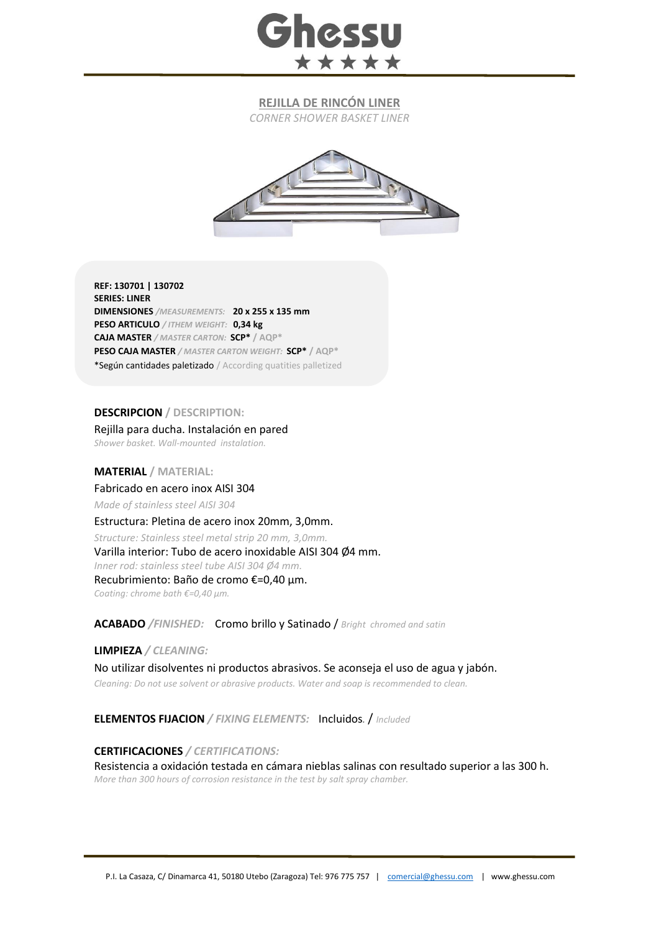

**REJILLA DE RINCÓN LINER**

*CORNER SHOWER BASKET LINER*



**REF: 130701 | 130702 SERIES: LINER DIMENSIONES** */MEASUREMENTS:* **20 x 255 x 135 mm PESO ARTICULO** */ ITHEM WEIGHT:* **0,34 kg CAJA MASTER** */ MASTER CARTON:* **SCP\* / AQP\* PESO CAJA MASTER** */ MASTER CARTON WEIGHT:* **SCP\* / AQP\*** \*Según cantidades paletizado / According quatities palletized

## **DESCRIPCION / DESCRIPTION:**

Rejilla para ducha. Instalación en pared *Shower basket. Wall-mounted instalation.*

#### **MATERIAL / MATERIAL:**

Fabricado en acero inox AISI 304 *Made of stainless steel AISI 304* Estructura: Pletina de acero inox 20mm, 3,0mm. *Structure: Stainless steel metal strip 20 mm, 3,0mm.*  Varilla interior: Tubo de acero inoxidable AISI 304 Ø4 mm. *Inner rod: stainless steel tube AISI 304 Ø4 mm.* Recubrimiento: Baño de cromo €=0,40 μm. *Coating: chrome bath €=0,40 μm.*

**ACABADO** */FINISHED:*Cromo brillo y Satinado / *Bright chromed and satin*

#### **LIMPIEZA** */ CLEANING:*

No utilizar disolventes ni productos abrasivos. Se aconseja el uso de agua y jabón. *Cleaning: Do not use solvent or abrasive products. Water and soap is recommended to clean.*

**ELEMENTOS FIJACION** */ FIXING ELEMENTS:* Incluidos*.* / *Included*

## **CERTIFICACIONES** */ CERTIFICATIONS:*

Resistencia a oxidación testada en cámara nieblas salinas con resultado superior a las 300 h. *More than 300 hours of corrosion resistance in the test by salt spray chamber.*